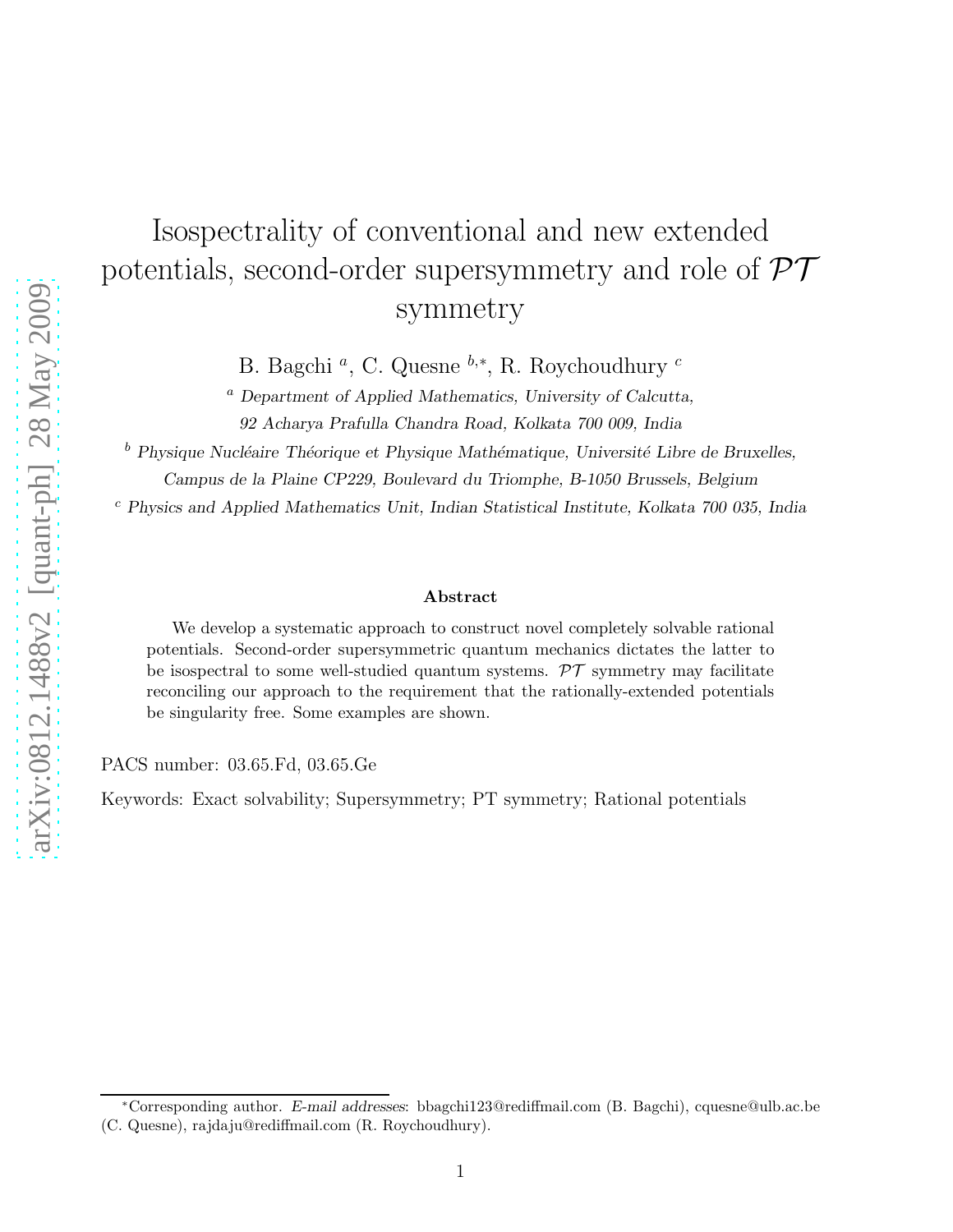# Isospectrality of conventional and new extended potentials, second-order supersymmetry and role of  $\mathcal{PT}$ symmetry

B. Bagchi<sup>*a*</sup>, C. Quesne <sup>*b*,\*</sup>, R. Roychoudhury <sup>*c*</sup>

 $a$  Department of Applied Mathematics, University of Calcutta, 92 Acharya Prafulla Chandra Road, Kolkata 700 009, India

 $^b$  Physique Nucléaire Théorique et Physique Mathématique, Université Libre de Bruxelles, Campus de la Plaine CP229, Boulevard du Triomphe, B-1050 Brussels, Belgium

 $c$  Physics and Applied Mathematics Unit, Indian Statistical Institute, Kolkata 700 035, India

#### Abstract

We develop a systematic approach to construct novel completely solvable rational potentials. Second-order supersymmetric quantum mechanics dictates the latter to be isospectral to some well-studied quantum systems.  $\mathcal{PT}$  symmetry may facilitate reconciling our approach to the requirement that the rationally-extended potentials be singularity free. Some examples are shown.

PACS number: 03.65.Fd, 03.65.Ge

Keywords: Exact solvability; Supersymmetry; PT symmetry; Rational potentials

<sup>∗</sup>Corresponding author. E-mail addresses: bbagchi123@rediffmail.com (B. Bagchi), cquesne@ulb.ac.be (C. Quesne), rajdaju@rediffmail.com (R. Roychoudhury).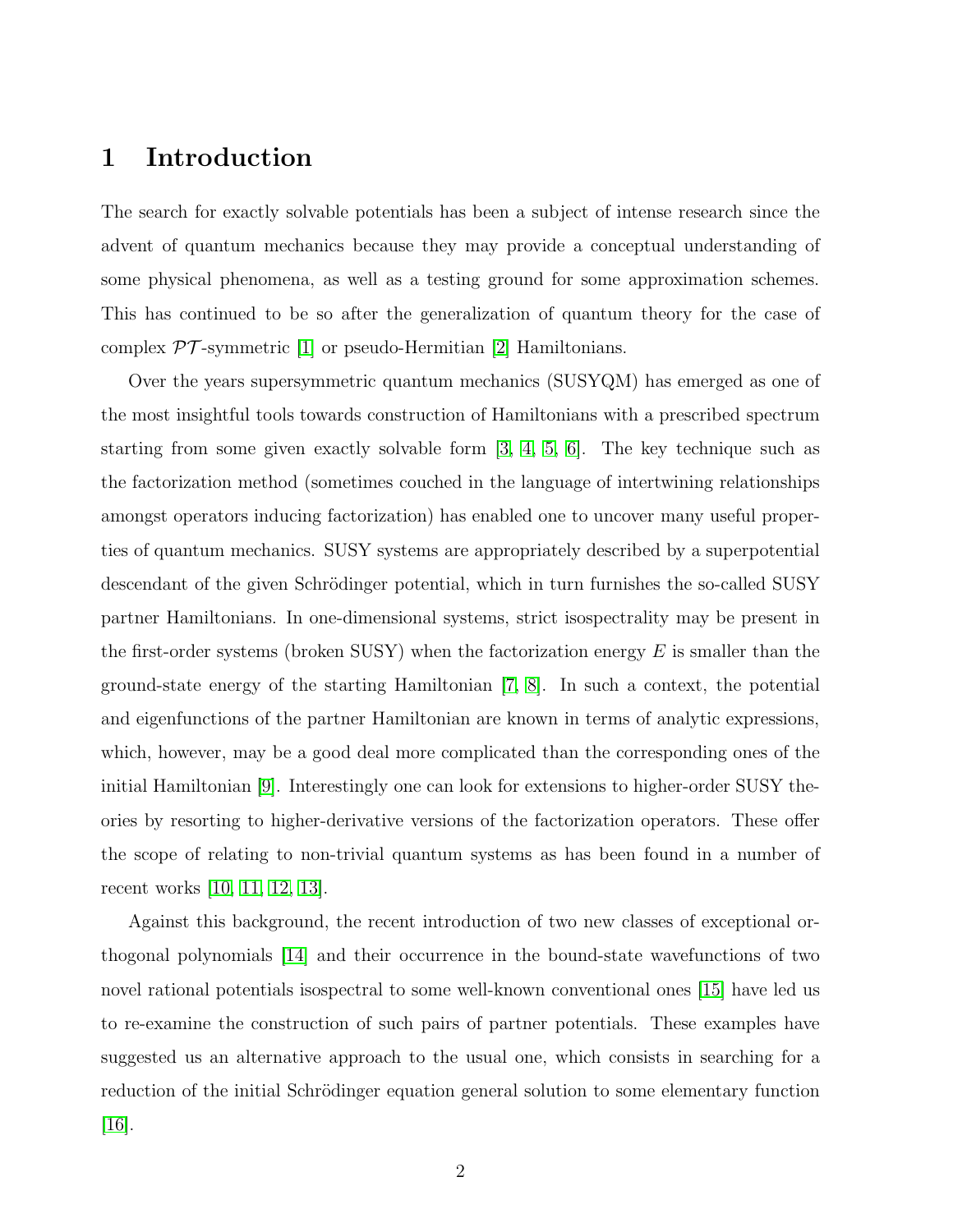# 1 Introduction

The search for exactly solvable potentials has been a subject of intense research since the advent of quantum mechanics because they may provide a conceptual understanding of some physical phenomena, as well as a testing ground for some approximation schemes. This has continued to be so after the generalization of quantum theory for the case of complex  $\mathcal{PT}$ -symmetric [\[1\]](#page-11-0) or pseudo-Hermitian [\[2\]](#page-11-1) Hamiltonians.

Over the years supersymmetric quantum mechanics (SUSYQM) has emerged as one of the most insightful tools towards construction of Hamiltonians with a prescribed spectrum starting from some given exactly solvable form  $[3, 4, 5, 6]$  $[3, 4, 5, 6]$  $[3, 4, 5, 6]$  $[3, 4, 5, 6]$ . The key technique such as the factorization method (sometimes couched in the language of intertwining relationships amongst operators inducing factorization) has enabled one to uncover many useful properties of quantum mechanics. SUSY systems are appropriately described by a superpotential descendant of the given Schrödinger potential, which in turn furnishes the so-called SUSY partner Hamiltonians. In one-dimensional systems, strict isospectrality may be present in the first-order systems (broken SUSY) when the factorization energy  $E$  is smaller than the ground-state energy of the starting Hamiltonian [\[7,](#page-11-6) [8\]](#page-11-7). In such a context, the potential and eigenfunctions of the partner Hamiltonian are known in terms of analytic expressions, which, however, may be a good deal more complicated than the corresponding ones of the initial Hamiltonian [\[9\]](#page-11-8). Interestingly one can look for extensions to higher-order SUSY theories by resorting to higher-derivative versions of the factorization operators. These offer the scope of relating to non-trivial quantum systems as has been found in a number of recent works [\[10,](#page-11-9) [11,](#page-11-10) [12,](#page-11-11) [13\]](#page-11-12).

Against this background, the recent introduction of two new classes of exceptional orthogonal polynomials [\[14\]](#page-11-13) and their occurrence in the bound-state wavefunctions of two novel rational potentials isospectral to some well-known conventional ones [\[15\]](#page-12-0) have led us to re-examine the construction of such pairs of partner potentials. These examples have suggested us an alternative approach to the usual one, which consists in searching for a reduction of the initial Schrödinger equation general solution to some elementary function  $|16|$ .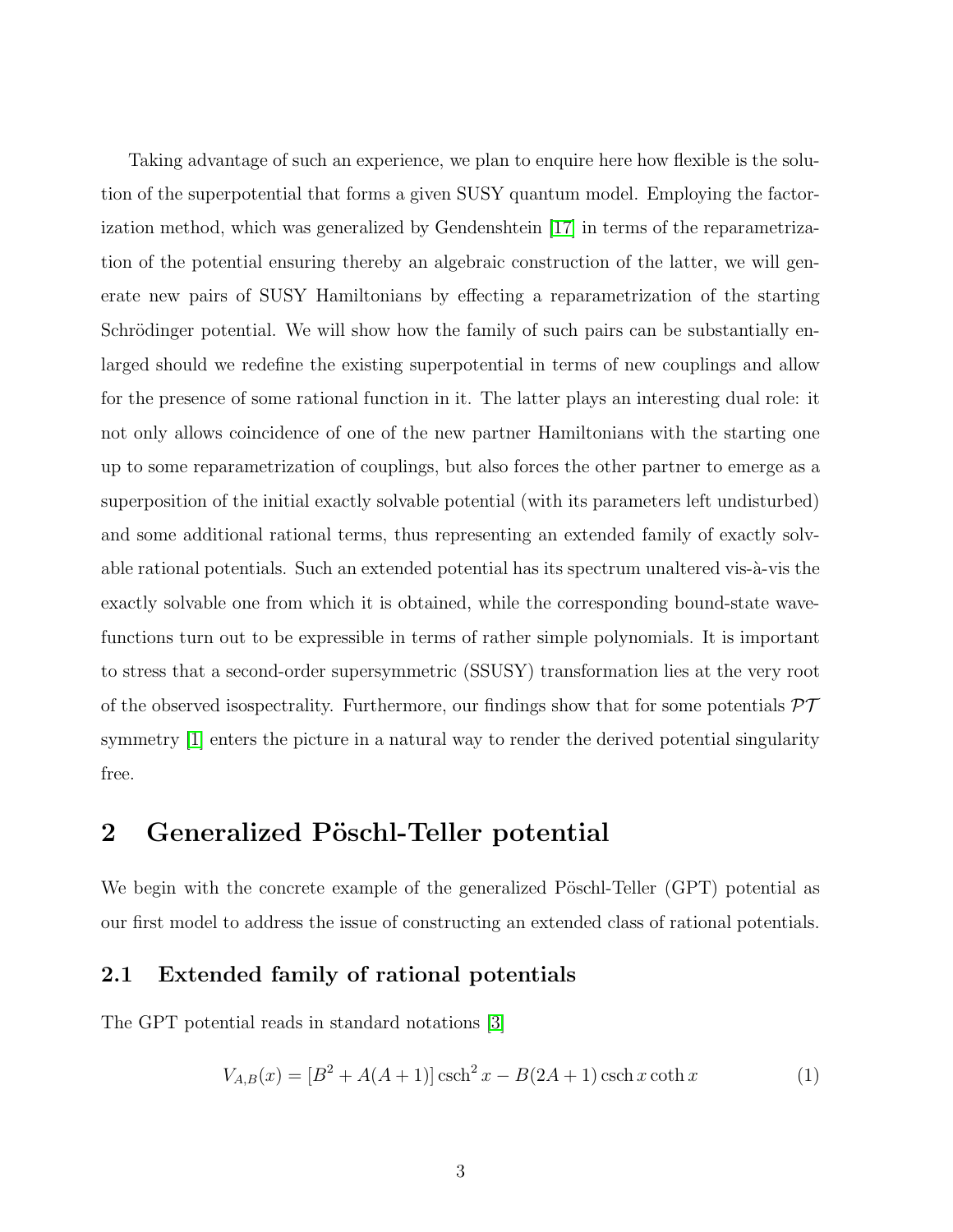Taking advantage of such an experience, we plan to enquire here how flexible is the solution of the superpotential that forms a given SUSY quantum model. Employing the factorization method, which was generalized by Gendenshtein [\[17\]](#page-12-2) in terms of the reparametrization of the potential ensuring thereby an algebraic construction of the latter, we will generate new pairs of SUSY Hamiltonians by effecting a reparametrization of the starting Schrödinger potential. We will show how the family of such pairs can be substantially enlarged should we redefine the existing superpotential in terms of new couplings and allow for the presence of some rational function in it. The latter plays an interesting dual role: it not only allows coincidence of one of the new partner Hamiltonians with the starting one up to some reparametrization of couplings, but also forces the other partner to emerge as a superposition of the initial exactly solvable potential (with its parameters left undisturbed) and some additional rational terms, thus representing an extended family of exactly solvable rational potentials. Such an extended potential has its spectrum unaltered vis- $\lambda$ -vis the exactly solvable one from which it is obtained, while the corresponding bound-state wavefunctions turn out to be expressible in terms of rather simple polynomials. It is important to stress that a second-order supersymmetric (SSUSY) transformation lies at the very root of the observed isospectrality. Furthermore, our findings show that for some potentials  $\mathcal{PT}$ symmetry [\[1\]](#page-11-0) enters the picture in a natural way to render the derived potential singularity free.

# 2 Generalized Pöschl-Teller potential

We begin with the concrete example of the generalized Pöschl-Teller (GPT) potential as our first model to address the issue of constructing an extended class of rational potentials.

#### 2.1 Extended family of rational potentials

The GPT potential reads in standard notations [\[3\]](#page-11-2)

<span id="page-2-0"></span>
$$
V_{A,B}(x) = [B^2 + A(A+1)] \operatorname{csch}^2 x - B(2A+1) \operatorname{csch} x \operatorname{coth} x \tag{1}
$$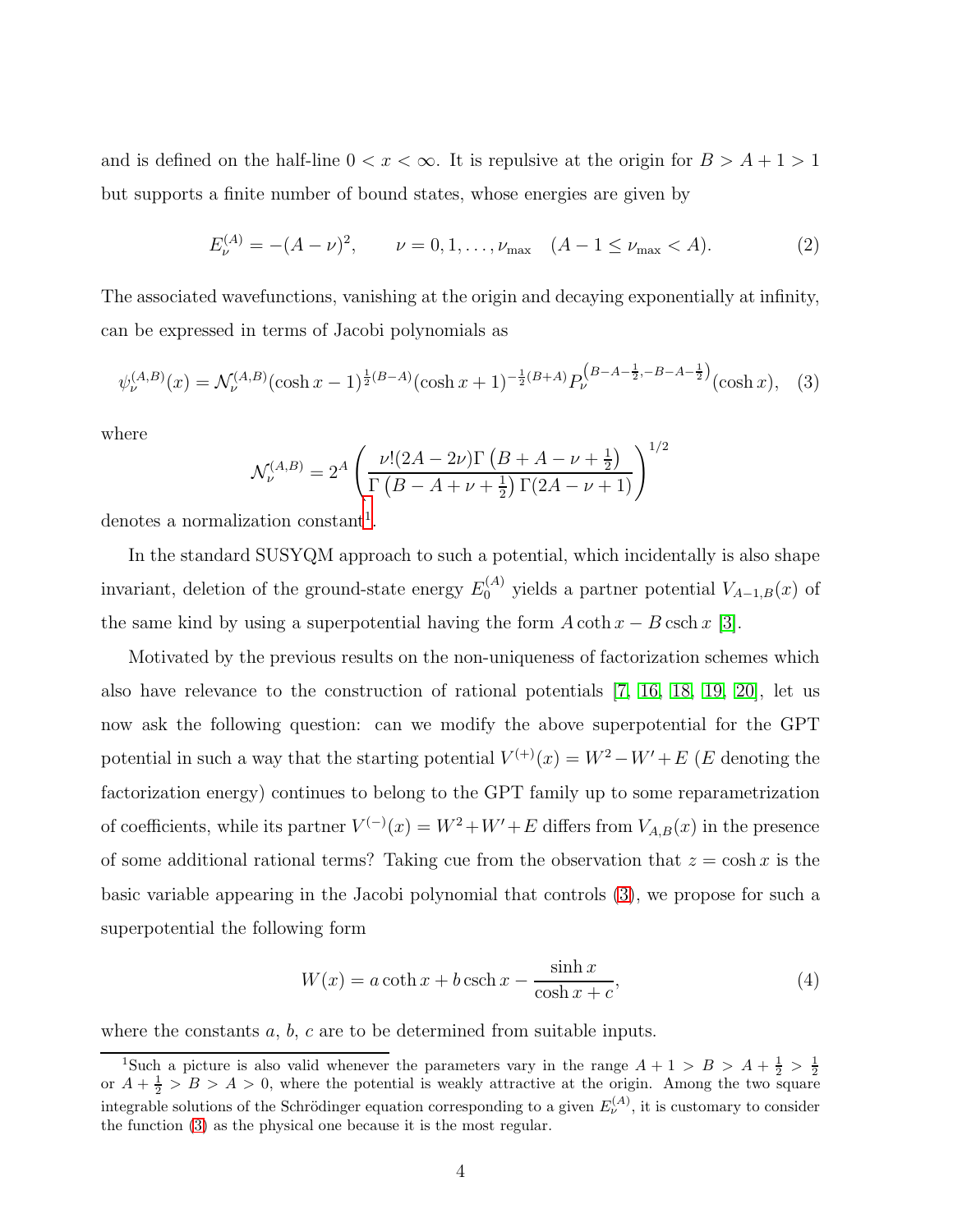and is defined on the half-line  $0 < x < \infty$ . It is repulsive at the origin for  $B > A + 1 > 1$ but supports a finite number of bound states, whose energies are given by

<span id="page-3-3"></span>
$$
E_{\nu}^{(A)} = -(A - \nu)^2, \qquad \nu = 0, 1, \dots, \nu_{\text{max}} \quad (A - 1 \le \nu_{\text{max}} < A). \tag{2}
$$

The associated wavefunctions, vanishing at the origin and decaying exponentially at infinity, can be expressed in terms of Jacobi polynomials as

<span id="page-3-1"></span>
$$
\psi_{\nu}^{(A,B)}(x) = \mathcal{N}_{\nu}^{(A,B)}(\cosh x - 1)^{\frac{1}{2}(B-A)}(\cosh x + 1)^{-\frac{1}{2}(B+A)} P_{\nu}^{(B-A-\frac{1}{2}, -B-A-\frac{1}{2})}(\cosh x), \quad (3)
$$

where

$$
\mathcal{N}_{\nu}^{(A,B)} = 2^{A} \left( \frac{\nu! (2A - 2\nu) \Gamma (B + A - \nu + \frac{1}{2})}{\Gamma (B - A + \nu + \frac{1}{2}) \Gamma (2A - \nu + 1)} \right)^{1/2}
$$

denotes a normalization constant<sup>[1](#page-3-0)</sup>.

In the standard SUSYQM approach to such a potential, which incidentally is also shape invariant, deletion of the ground-state energy  $E_0^{(A)}$  yields a partner potential  $V_{A-1,B}(x)$  of the same kind by using a superpotential having the form  $A \coth x - B \operatorname{csch} x$  [\[3\]](#page-11-2).

Motivated by the previous results on the non-uniqueness of factorization schemes which also have relevance to the construction of rational potentials [\[7,](#page-11-6) [16,](#page-12-1) [18,](#page-12-3) [19,](#page-12-4) [20\]](#page-12-5), let us now ask the following question: can we modify the above superpotential for the GPT potential in such a way that the starting potential  $V^{(+)}(x) = W^2 - W' + E$  (*E* denoting the factorization energy) continues to belong to the GPT family up to some reparametrization of coefficients, while its partner  $V^{(-)}(x) = W^2 + W' + E$  differs from  $V_{A,B}(x)$  in the presence of some additional rational terms? Taking cue from the observation that  $z = \cosh x$  is the basic variable appearing in the Jacobi polynomial that controls [\(3\)](#page-3-1), we propose for such a superpotential the following form

<span id="page-3-2"></span>
$$
W(x) = a \coth x + b \operatorname{csch} x - \frac{\sinh x}{\cosh x + c},\tag{4}
$$

where the constants  $a, b, c$  are to be determined from suitable inputs.

<span id="page-3-0"></span><sup>&</sup>lt;sup>1</sup>Such a picture is also valid whenever the parameters vary in the range  $A + 1 > B > A + \frac{1}{2} > \frac{1}{2}$ <br>or  $A + \frac{1}{2} > B > A > 0$ , where the potential is weakly attractive at the origin. Among the two square integrable solutions of the Schrödinger equation corresponding to a given  $E_{\nu}^{(A)}$ , it is customary to consider the function [\(3\)](#page-3-1) as the physical one because it is the most regular.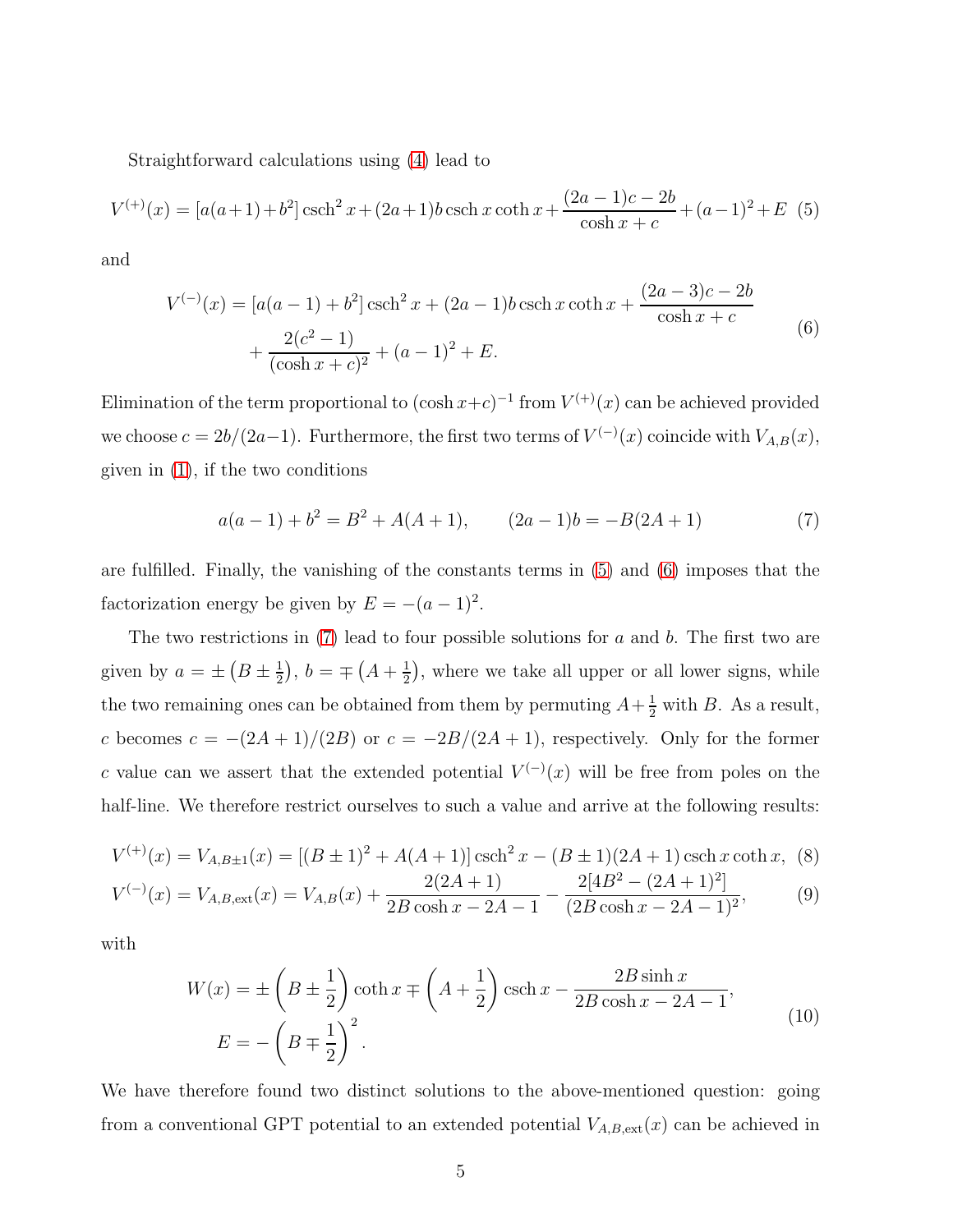Straightforward calculations using [\(4\)](#page-3-2) lead to

<span id="page-4-0"></span>
$$
V^{(+)}(x) = [a(a+1)+b2] \operatorname{csch}^{2} x + (2a+1)b \operatorname{csch} x \coth x + \frac{(2a-1)c-2b}{\cosh x + c} + (a-1)^{2} + E \tag{5}
$$

<span id="page-4-1"></span>and

$$
V^{(-)}(x) = [a(a-1) + b2] \operatorname{csch}^{2} x + (2a-1)b \operatorname{csch} x \operatorname{coth} x + \frac{(2a-3)c - 2b}{\cosh x + c} + \frac{2(c^{2}-1)}{(\cosh x + c)^{2}} + (a-1)^{2} + E.
$$
\n(6)

Elimination of the term proportional to  $(\cosh x + c)^{-1}$  from  $V^{(+)}(x)$  can be achieved provided we choose  $c = 2b/(2a-1)$ . Furthermore, the first two terms of  $V^{(-)}(x)$  coincide with  $V_{A,B}(x)$ , given in [\(1\)](#page-2-0), if the two conditions

<span id="page-4-2"></span>
$$
a(a-1) + b2 = B2 + A(A + 1), \t (2a - 1)b = -B(2A + 1)
$$
 (7)

are fulfilled. Finally, the vanishing of the constants terms in [\(5\)](#page-4-0) and [\(6\)](#page-4-1) imposes that the factorization energy be given by  $E = -(a-1)^2$ .

The two restrictions in  $(7)$  lead to four possible solutions for a and b. The first two are given by  $a = \pm (B \pm \frac{1}{2})$  $(\frac{1}{2}), b = \pm (A + \frac{1}{2})$  $\frac{1}{2}$ , where we take all upper or all lower signs, while the two remaining ones can be obtained from them by permuting  $A + \frac{1}{2}$  with B. As a result, c becomes  $c = -(2A + 1)/(2B)$  or  $c = -2B/(2A + 1)$ , respectively. Only for the former c value can we assert that the extended potential  $V^{(-)}(x)$  will be free from poles on the half-line. We therefore restrict ourselves to such a value and arrive at the following results:

$$
V^{(+)}(x) = V_{A,B\pm 1}(x) = [(B \pm 1)^2 + A(A+1)] \operatorname{csch}^2 x - (B \pm 1)(2A+1) \operatorname{csch} x \coth x, \tag{8}
$$

$$
V^{(-)}(x) = V_{A,B,\text{ext}}(x) = V_{A,B}(x) + \frac{2(2A+1)}{2B\cosh x - 2A - 1} - \frac{2[4B^2 - (2A+1)^2]}{(2B\cosh x - 2A - 1)^2},\tag{9}
$$

<span id="page-4-3"></span>with

<span id="page-4-5"></span><span id="page-4-4"></span>
$$
W(x) = \pm \left(B \pm \frac{1}{2}\right) \coth x \mp \left(A + \frac{1}{2}\right) \operatorname{csch} x - \frac{2B \sinh x}{2B \cosh x - 2A - 1},
$$
  
\n
$$
E = -\left(B \mp \frac{1}{2}\right)^2.
$$
\n(10)

We have therefore found two distinct solutions to the above-mentioned question: going from a conventional GPT potential to an extended potential  $V_{A,B,\text{ext}}(x)$  can be achieved in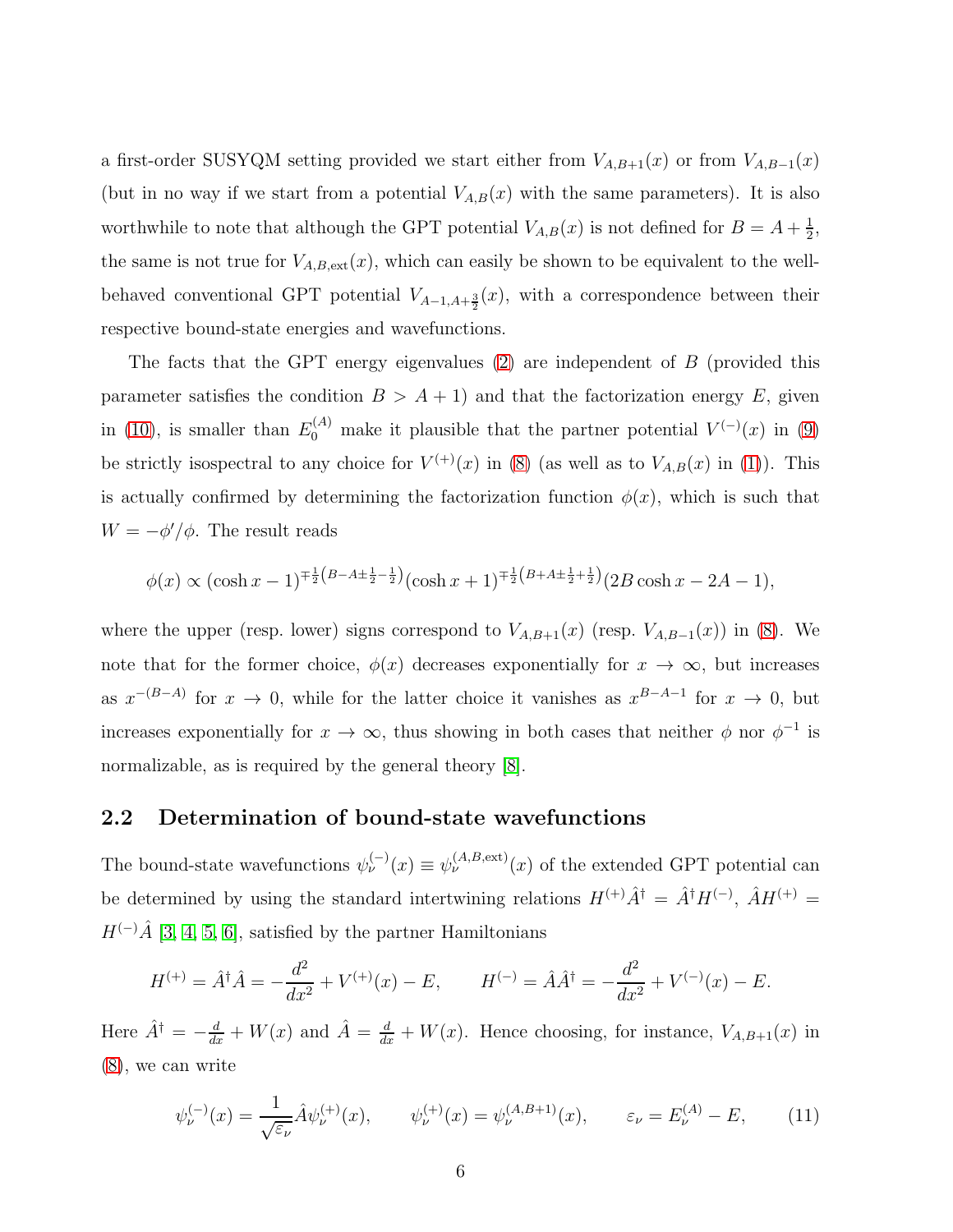a first-order SUSYQM setting provided we start either from  $V_{A,B+1}(x)$  or from  $V_{A,B-1}(x)$ (but in no way if we start from a potential  $V_{A,B}(x)$  with the same parameters). It is also worthwhile to note that although the GPT potential  $V_{A,B}(x)$  is not defined for  $B = A + \frac{1}{2}$  $\frac{1}{2}$ , the same is not true for  $V_{A,B,\text{ext}}(x)$ , which can easily be shown to be equivalent to the wellbehaved conventional GPT potential  $V_{A-1,A+\frac{3}{2}}(x)$ , with a correspondence between their respective bound-state energies and wavefunctions.

The facts that the GPT energy eigenvalues [\(2\)](#page-3-3) are independent of B (provided this parameter satisfies the condition  $B > A + 1$ ) and that the factorization energy E, given in [\(10\)](#page-4-3), is smaller than  $E_0^{(A)}$  make it plausible that the partner potential  $V^{(-)}(x)$  in [\(9\)](#page-4-4) be strictly isospectral to any choice for  $V^{(+)}(x)$  in [\(8\)](#page-4-5) (as well as to  $V_{A,B}(x)$  in [\(1\)](#page-2-0)). This is actually confirmed by determining the factorization function  $\phi(x)$ , which is such that  $W = -\phi'/\phi$ . The result reads

$$
\phi(x) \propto (\cosh x - 1)^{\mp \frac{1}{2}(B - A \pm \frac{1}{2} - \frac{1}{2})} (\cosh x + 1)^{\mp \frac{1}{2}(B + A \pm \frac{1}{2} + \frac{1}{2})} (2B \cosh x - 2A - 1),
$$

where the upper (resp. lower) signs correspond to  $V_{A,B+1}(x)$  (resp.  $V_{A,B-1}(x)$ ) in [\(8\)](#page-4-5). We note that for the former choice,  $\phi(x)$  decreases exponentially for  $x \to \infty$ , but increases as  $x^{-(B-A)}$  for  $x \to 0$ , while for the latter choice it vanishes as  $x^{B-A-1}$  for  $x \to 0$ , but increases exponentially for  $x \to \infty$ , thus showing in both cases that neither  $\phi$  nor  $\phi^{-1}$  is normalizable, as is required by the general theory [\[8\]](#page-11-7).

#### 2.2 Determination of bound-state wavefunctions

The bound-state wavefunctions  $\psi_{\nu}^{(-)}(x) \equiv \psi_{\nu}^{(A,B,\text{ext})}(x)$  of the extended GPT potential can be determined by using the standard intertwining relations  $H^{(+)}\hat{A}^{\dagger} = \hat{A}^{\dagger}H^{(-)}$ ,  $\hat{A}H^{(+)} =$  $H^{(-)}\hat{A}$  [\[3,](#page-11-2) [4,](#page-11-3) [5,](#page-11-4) [6\]](#page-11-5), satisfied by the partner Hamiltonians

$$
H^{(+)} = \hat{A}^{\dagger} \hat{A} = -\frac{d^2}{dx^2} + V^{(+)}(x) - E, \qquad H^{(-)} = \hat{A} \hat{A}^{\dagger} = -\frac{d^2}{dx^2} + V^{(-)}(x) - E.
$$

Here  $\hat{A}^{\dagger} = -\frac{d}{dx} + W(x)$  and  $\hat{A} = \frac{d}{dx} + W(x)$ . Hence choosing, for instance,  $V_{A,B+1}(x)$  in [\(8\)](#page-4-5), we can write

<span id="page-5-0"></span>
$$
\psi_{\nu}^{(-)}(x) = \frac{1}{\sqrt{\varepsilon_{\nu}}} \hat{A} \psi_{\nu}^{(+)}(x), \qquad \psi_{\nu}^{(+)}(x) = \psi_{\nu}^{(A,B+1)}(x), \qquad \varepsilon_{\nu} = E_{\nu}^{(A)} - E,\tag{11}
$$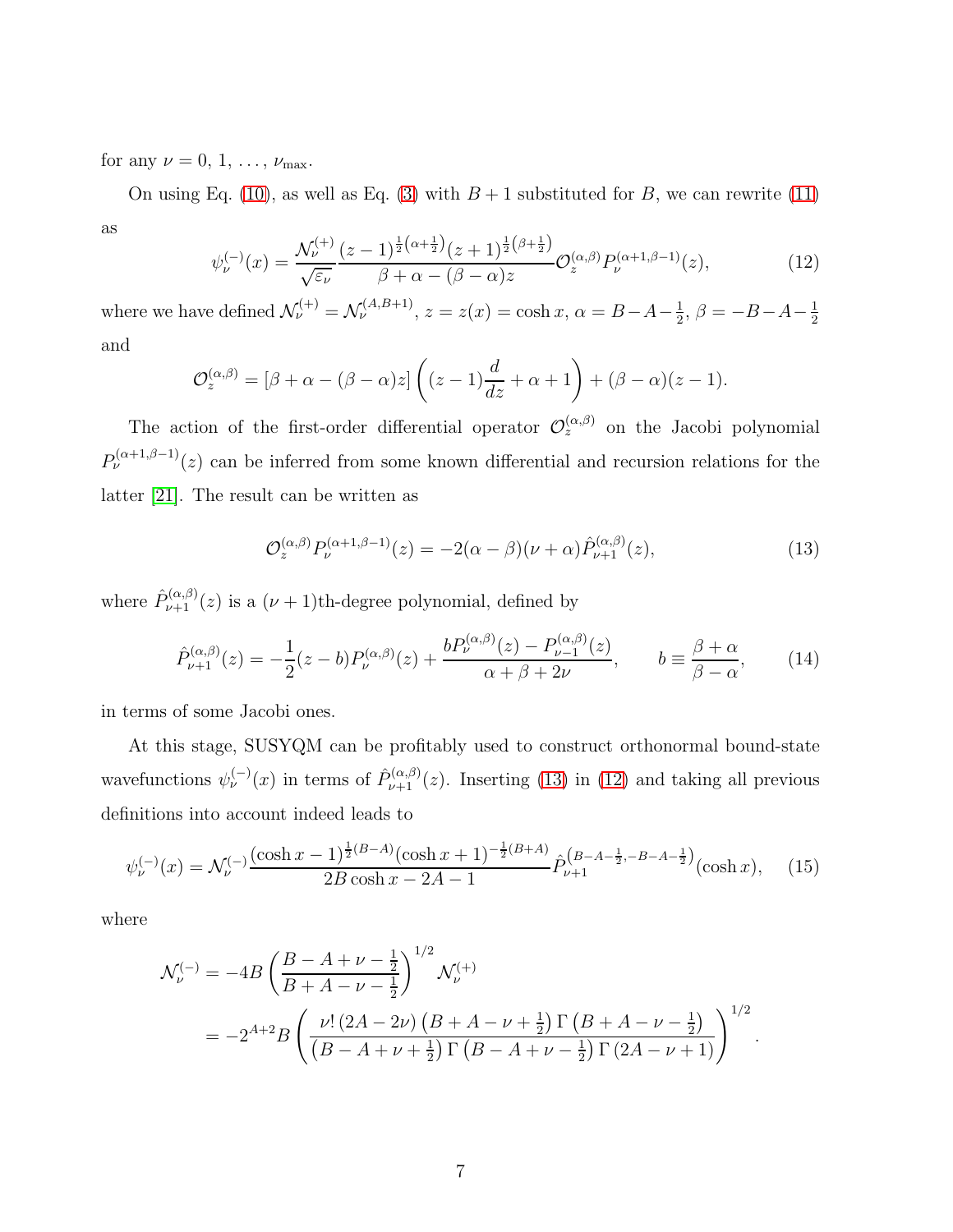for any  $\nu = 0, 1, \ldots, \nu_{\text{max}}$ .

On using Eq. [\(10\)](#page-4-3), as well as Eq. [\(3\)](#page-3-1) with  $B + 1$  substituted for B, we can rewrite [\(11\)](#page-5-0) as

<span id="page-6-1"></span>
$$
\psi_{\nu}^{(-)}(x) = \frac{\mathcal{N}_{\nu}^{(+)}(z-1)^{\frac{1}{2}(\alpha+\frac{1}{2})}(z+1)^{\frac{1}{2}(\beta+\frac{1}{2})}}{\beta+\alpha-(\beta-\alpha)z} \mathcal{O}_z^{(\alpha,\beta)} P_{\nu}^{(\alpha+1,\beta-1)}(z), \tag{12}
$$

where we have defined  $\mathcal{N}_{\nu}^{(+)} = \mathcal{N}_{\nu}^{(A,B+1)}$ ,  $z = z(x) = \cosh x$ ,  $\alpha = B - A - \frac{1}{2}$  $\frac{1}{2}$ ,  $\beta = -B - A - \frac{1}{2}$ 2 and

$$
\mathcal{O}_z^{(\alpha,\beta)} = [\beta + \alpha - (\beta - \alpha)z] \left( (z-1)\frac{d}{dz} + \alpha + 1 \right) + (\beta - \alpha)(z-1).
$$

The action of the first-order differential operator  $\mathcal{O}_z^{(\alpha,\beta)}$  on the Jacobi polynomial  $P_{\nu}^{(\alpha+1,\beta-1)}(z)$  can be inferred from some known differential and recursion relations for the latter [\[21\]](#page-12-6). The result can be written as

<span id="page-6-0"></span>
$$
\mathcal{O}_z^{(\alpha,\beta)} P_\nu^{(\alpha+1,\beta-1)}(z) = -2(\alpha-\beta)(\nu+\alpha)\hat{P}_{\nu+1}^{(\alpha,\beta)}(z),\tag{13}
$$

where  $\hat{P}_{\nu+1}^{(\alpha,\beta)}(z)$  is a  $(\nu+1)$ th-degree polynomial, defined by

<span id="page-6-2"></span>
$$
\hat{P}_{\nu+1}^{(\alpha,\beta)}(z) = -\frac{1}{2}(z-b)P_{\nu}^{(\alpha,\beta)}(z) + \frac{bP_{\nu}^{(\alpha,\beta)}(z) - P_{\nu-1}^{(\alpha,\beta)}(z)}{\alpha + \beta + 2\nu}, \qquad b \equiv \frac{\beta + \alpha}{\beta - \alpha},\tag{14}
$$

in terms of some Jacobi ones.

At this stage, SUSYQM can be profitably used to construct orthonormal bound-state wavefunctions  $\psi_{\nu}^{(-)}(x)$  in terms of  $\hat{P}_{\nu+1}^{(\alpha,\beta)}(z)$ . Inserting [\(13\)](#page-6-0) in [\(12\)](#page-6-1) and taking all previous definitions into account indeed leads to

<span id="page-6-3"></span>
$$
\psi_{\nu}^{(-)}(x) = \mathcal{N}_{\nu}^{(-)} \frac{(\cosh x - 1)^{\frac{1}{2}(B-A)}(\cosh x + 1)^{-\frac{1}{2}(B+A)}}{2B\cosh x - 2A - 1} \hat{P}_{\nu+1}^{(B-A-\frac{1}{2}, -B-A-\frac{1}{2})}(\cosh x), \quad (15)
$$

where

$$
\mathcal{N}_{\nu}^{(-)} = -4B \left( \frac{B - A + \nu - \frac{1}{2}}{B + A - \nu - \frac{1}{2}} \right)^{1/2} \mathcal{N}_{\nu}^{(+)} \n= -2^{A+2} B \left( \frac{\nu! \left( 2A - 2\nu \right) \left( B + A - \nu + \frac{1}{2} \right) \Gamma \left( B + A - \nu - \frac{1}{2} \right)}{\left( B - A + \nu + \frac{1}{2} \right) \Gamma \left( B - A + \nu - \frac{1}{2} \right) \Gamma \left( 2A - \nu + 1 \right)} \right)^{1/2}.
$$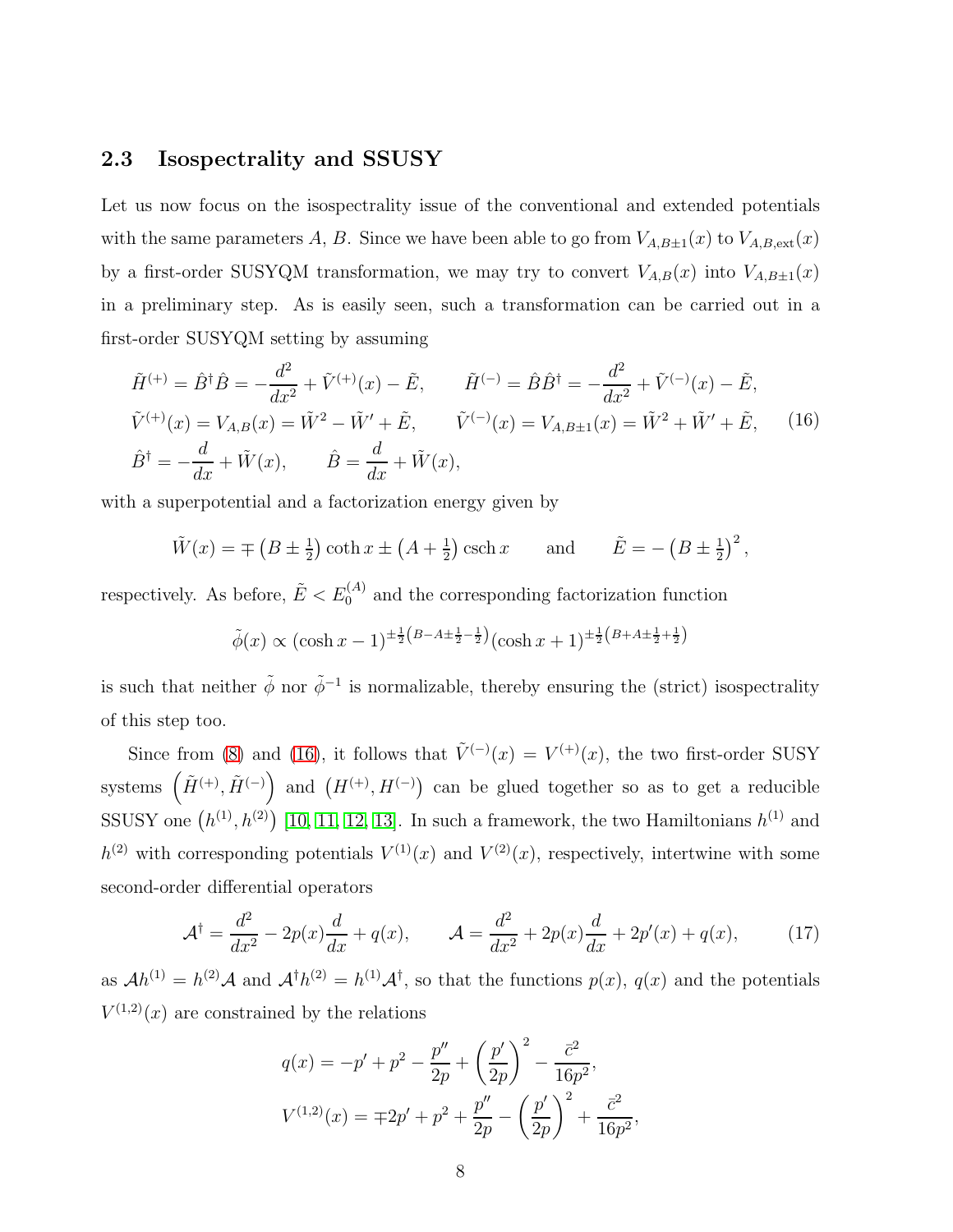#### 2.3 Isospectrality and SSUSY

Let us now focus on the isospectrality issue of the conventional and extended potentials with the same parameters A, B. Since we have been able to go from  $V_{A,B\pm 1}(x)$  to  $V_{A,B,ext}(x)$ by a first-order SUSYQM transformation, we may try to convert  $V_{A,B}(x)$  into  $V_{A,B\pm 1}(x)$ in a preliminary step. As is easily seen, such a transformation can be carried out in a first-order SUSYQM setting by assuming

<span id="page-7-0"></span>
$$
\tilde{H}^{(+)} = \hat{B}^{\dagger} \hat{B} = -\frac{d^2}{dx^2} + \tilde{V}^{(+)}(x) - \tilde{E}, \qquad \tilde{H}^{(-)} = \hat{B} \hat{B}^{\dagger} = -\frac{d^2}{dx^2} + \tilde{V}^{(-)}(x) - \tilde{E},
$$
\n
$$
\tilde{V}^{(+)}(x) = V_{A,B}(x) = \tilde{W}^2 - \tilde{W}' + \tilde{E}, \qquad \tilde{V}^{(-)}(x) = V_{A,B\pm 1}(x) = \tilde{W}^2 + \tilde{W}' + \tilde{E}, \qquad (16)
$$
\n
$$
\hat{B}^{\dagger} = -\frac{d}{dx} + \tilde{W}(x), \qquad \hat{B} = \frac{d}{dx} + \tilde{W}(x),
$$

with a superpotential and a factorization energy given by

$$
\tilde{W}(x) = \mp (B \pm \frac{1}{2}) \coth x \pm (A + \frac{1}{2}) \operatorname{csch} x \quad \text{and} \quad \tilde{E} = - (B \pm \frac{1}{2})^2,
$$

respectively. As before,  $\tilde{E} < E_0^{(A)}$  and the corresponding factorization function

$$
\tilde{\phi}(x) \propto (\cosh x - 1)^{\pm \frac{1}{2}(B - A \pm \frac{1}{2} - \frac{1}{2})} (\cosh x + 1)^{\pm \frac{1}{2}(B + A \pm \frac{1}{2} + \frac{1}{2})}
$$

is such that neither  $\tilde{\phi}$  nor  $\tilde{\phi}^{-1}$  is normalizable, thereby ensuring the (strict) isospectrality of this step too.

Since from [\(8\)](#page-4-5) and [\(16\)](#page-7-0), it follows that  $\tilde{V}^{(-)}(x) = V^{(+)}(x)$ , the two first-order SUSY systems  $(\tilde{H}^{(+)}, \tilde{H}^{(-)})$  and  $(H^{(+)}, H^{(-)})$  can be glued together so as to get a reducible SSUSY one  $(h^{(1)}, h^{(2)})$  [\[10,](#page-11-9) [11,](#page-11-10) [12,](#page-11-11) [13\]](#page-11-12). In such a framework, the two Hamiltonians  $h^{(1)}$  and  $h^{(2)}$  with corresponding potentials  $V^{(1)}(x)$  and  $V^{(2)}(x)$ , respectively, intertwine with some second-order differential operators

<span id="page-7-1"></span>
$$
\mathcal{A}^{\dagger} = \frac{d^2}{dx^2} - 2p(x)\frac{d}{dx} + q(x), \qquad \mathcal{A} = \frac{d^2}{dx^2} + 2p(x)\frac{d}{dx} + 2p'(x) + q(x), \tag{17}
$$

as  $Ah^{(1)} = h^{(2)}A$  and  $A^{\dagger}h^{(2)} = h^{(1)}A^{\dagger}$ , so that the functions  $p(x)$ ,  $q(x)$  and the potentials  $V^{(1,2)}(x)$  are constrained by the relations

$$
q(x) = -p' + p^2 - \frac{p''}{2p} + \left(\frac{p'}{2p}\right)^2 - \frac{\bar{c}^2}{16p^2},
$$
  

$$
V^{(1,2)}(x) = \mp 2p' + p^2 + \frac{p''}{2p} - \left(\frac{p'}{2p}\right)^2 + \frac{\bar{c}^2}{16p^2},
$$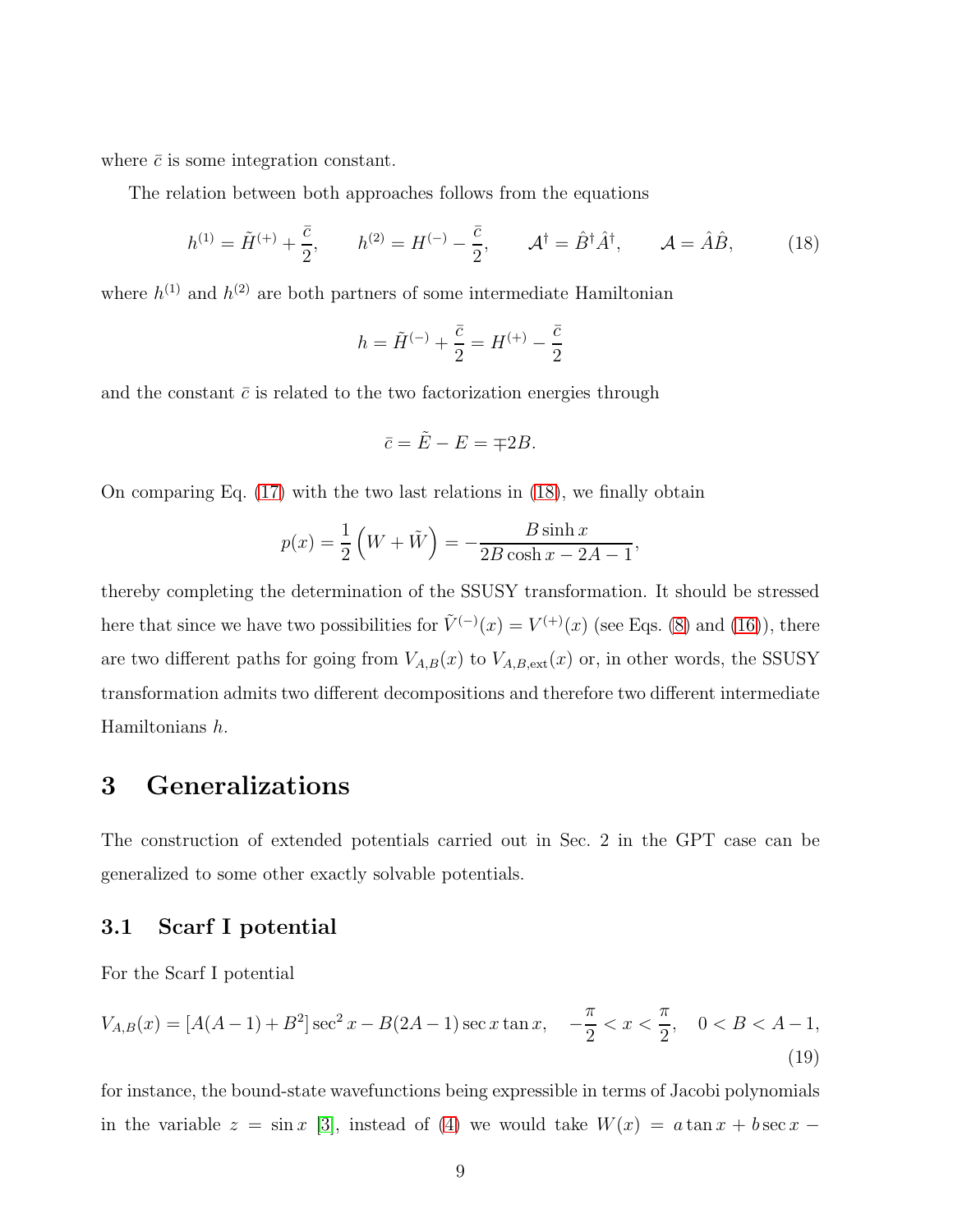where  $\bar{c}$  is some integration constant.

The relation between both approaches follows from the equations

<span id="page-8-0"></span>
$$
h^{(1)} = \tilde{H}^{(+)} + \frac{\bar{c}}{2}, \qquad h^{(2)} = H^{(-)} - \frac{\bar{c}}{2}, \qquad \mathcal{A}^{\dagger} = \hat{B}^{\dagger} \hat{A}^{\dagger}, \qquad \mathcal{A} = \hat{A}\hat{B}, \tag{18}
$$

where  $h^{(1)}$  and  $h^{(2)}$  are both partners of some intermediate Hamiltonian

$$
h = \tilde{H}^{(-)} + \frac{\bar{c}}{2} = H^{(+)} - \frac{\bar{c}}{2}
$$

and the constant  $\bar{c}$  is related to the two factorization energies through

$$
\bar{c} = \tilde{E} - E = \mp 2B.
$$

On comparing Eq. [\(17\)](#page-7-1) with the two last relations in [\(18\)](#page-8-0), we finally obtain

$$
p(x) = \frac{1}{2} \left( W + \tilde{W} \right) = -\frac{B \sinh x}{2B \cosh x - 2A - 1},
$$

thereby completing the determination of the SSUSY transformation. It should be stressed here that since we have two possibilities for  $\tilde{V}^{(-)}(x) = V^{(+)}(x)$  (see Eqs. [\(8\)](#page-4-5) and [\(16\)](#page-7-0)), there are two different paths for going from  $V_{A,B}(x)$  to  $V_{A,B,\text{ext}}(x)$  or, in other words, the SSUSY transformation admits two different decompositions and therefore two different intermediate Hamiltonians h.

### 3 Generalizations

The construction of extended potentials carried out in Sec. 2 in the GPT case can be generalized to some other exactly solvable potentials.

#### 3.1 Scarf I potential

For the Scarf I potential

<span id="page-8-1"></span>
$$
V_{A,B}(x) = [A(A-1) + B^2] \sec^2 x - B(2A-1) \sec x \tan x, \quad -\frac{\pi}{2} < x < \frac{\pi}{2}, \quad 0 < B < A-1,\tag{19}
$$

for instance, the bound-state wavefunctions being expressible in terms of Jacobi polynomials in the variable  $z = \sin x$  [\[3\]](#page-11-2), instead of [\(4\)](#page-3-2) we would take  $W(x) = a \tan x + b \sec x$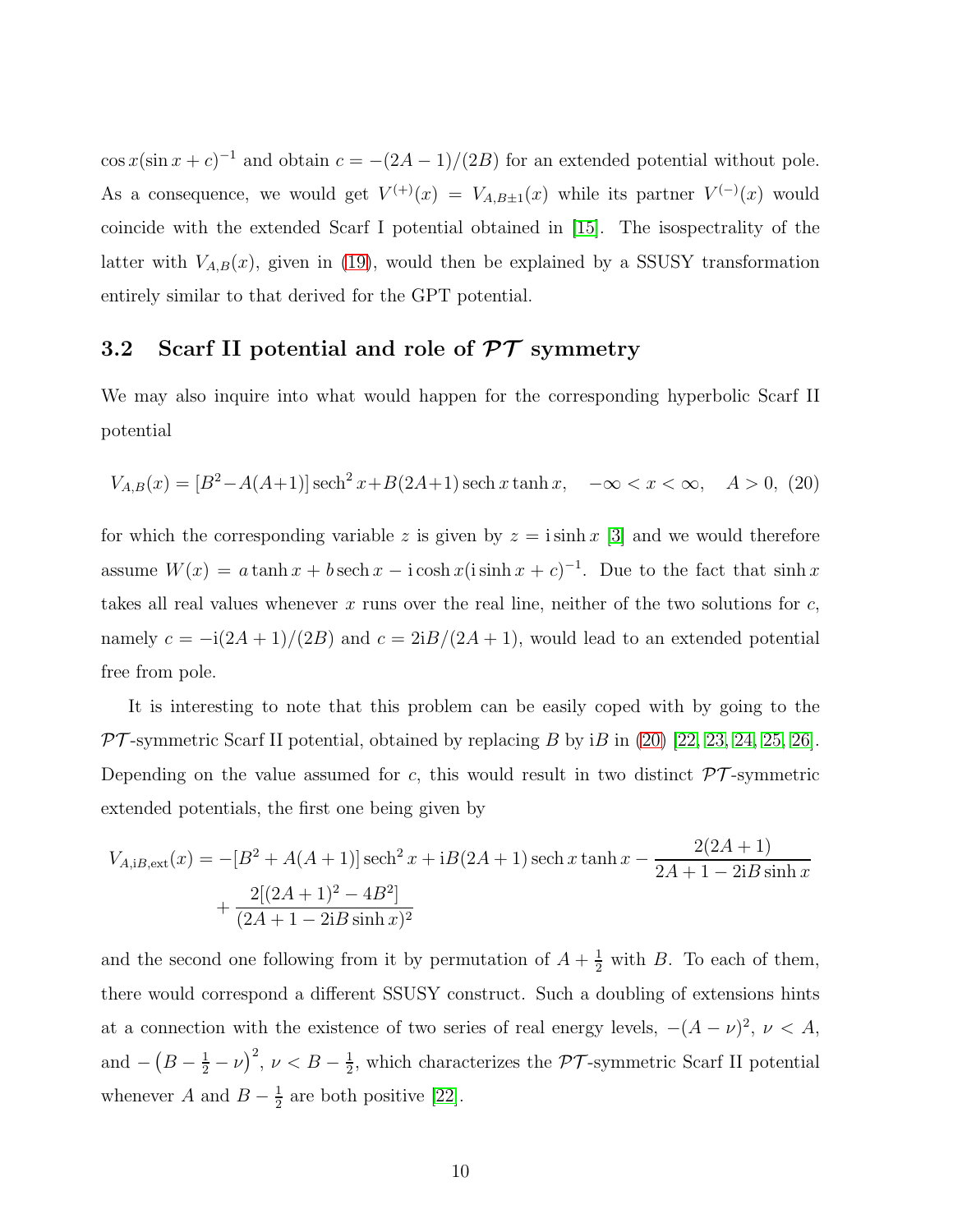$\cos x(\sin x + c)^{-1}$  and obtain  $c = -(2A - 1)/(2B)$  for an extended potential without pole. As a consequence, we would get  $V^{(+)}(x) = V_{A,B\pm 1}(x)$  while its partner  $V^{(-)}(x)$  would coincide with the extended Scarf I potential obtained in [\[15\]](#page-12-0). The isospectrality of the latter with  $V_{A,B}(x)$ , given in [\(19\)](#page-8-1), would then be explained by a SSUSY transformation entirely similar to that derived for the GPT potential.

#### 3.2 Scarf II potential and role of  $\mathcal{PT}$  symmetry

We may also inquire into what would happen for the corresponding hyperbolic Scarf II potential

<span id="page-9-0"></span>
$$
V_{A,B}(x) = [B^2 - A(A+1)] \operatorname{sech}^2 x + B(2A+1) \operatorname{sech} x \tanh x, \quad -\infty < x < \infty, \quad A > 0,\tag{20}
$$

for which the corresponding variable z is given by  $z = i \sinh x$  [\[3\]](#page-11-2) and we would therefore assume  $W(x) = a \tanh x + b \sech x - i \cosh x (i \sinh x + c)^{-1}$ . Due to the fact that  $\sinh x$ takes all real values whenever x runs over the real line, neither of the two solutions for  $c$ , namely  $c = -i(2A + 1)/(2B)$  and  $c = 2iB/(2A + 1)$ , would lead to an extended potential free from pole.

It is interesting to note that this problem can be easily coped with by going to the  $PT$ -symmetric Scarf II potential, obtained by replacing B by iB in [\(20\)](#page-9-0) [\[22,](#page-12-7) [23,](#page-12-8) [24,](#page-12-9) [25,](#page-12-10) [26\]](#page-12-11). Depending on the value assumed for c, this would result in two distinct  $\mathcal{PT}$ -symmetric extended potentials, the first one being given by

$$
V_{A,iB,ext}(x) = -[B^2 + A(A+1)] \operatorname{sech}^2 x + iB(2A+1) \operatorname{sech} x \tanh x - \frac{2(2A+1)}{2A+1 - 2iB \sinh x} + \frac{2[(2A+1)^2 - 4B^2]}{(2A+1 - 2iB \sinh x)^2}
$$

and the second one following from it by permutation of  $A + \frac{1}{2}$  with B. To each of them, there would correspond a different SSUSY construct. Such a doubling of extensions hints at a connection with the existence of two series of real energy levels,  $-(A - \nu)^2$ ,  $\nu < A$ , and  $-\left(B-\frac{1}{2}-\nu\right)^2$ ,  $\nu < B-\frac{1}{2}$  $\frac{1}{2}$ , which characterizes the  $\mathcal{PT}$ -symmetric Scarf II potential whenever A and  $B-\frac{1}{2}$  $\frac{1}{2}$  are both positive [\[22\]](#page-12-7).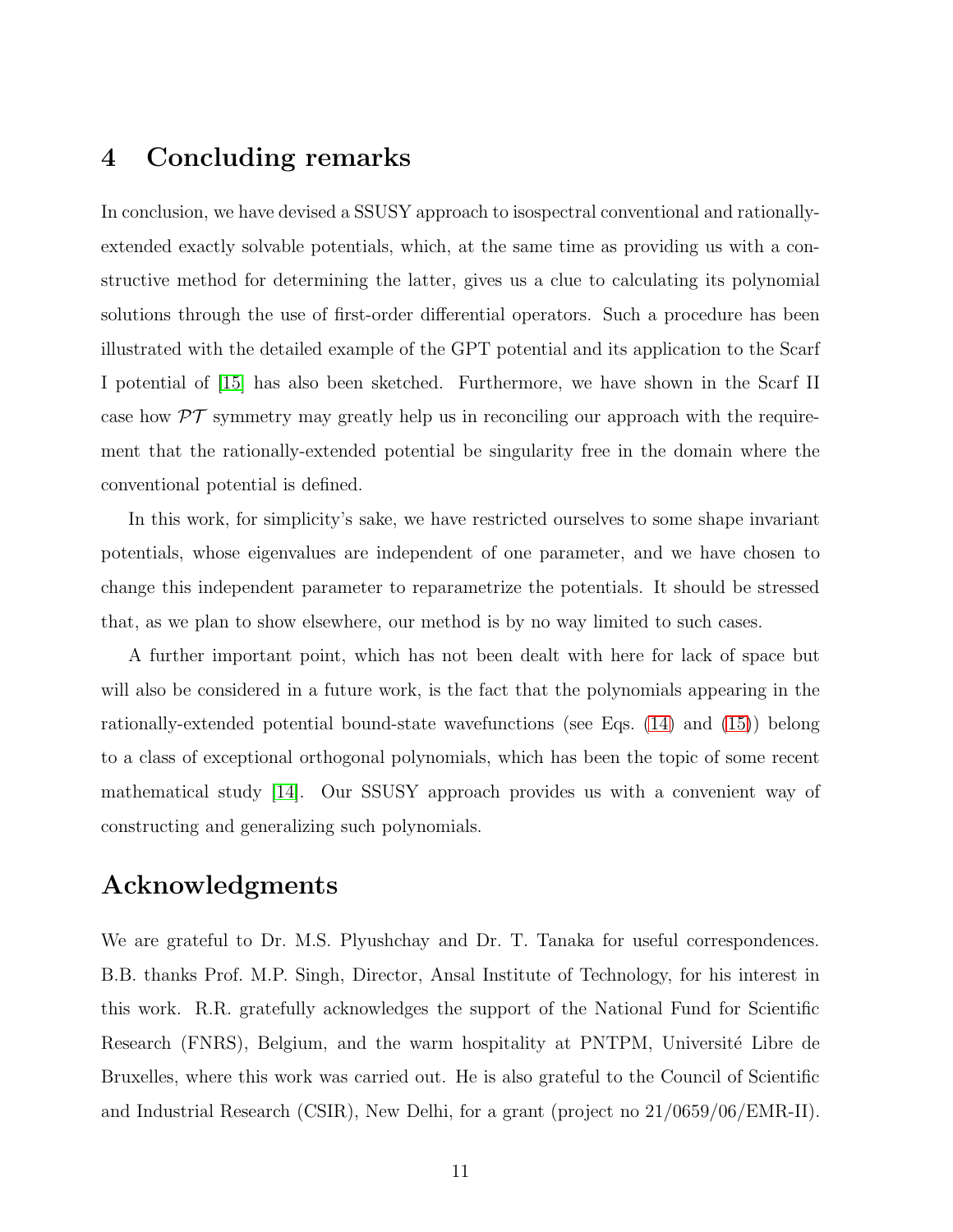### 4 Concluding remarks

In conclusion, we have devised a SSUSY approach to isospectral conventional and rationallyextended exactly solvable potentials, which, at the same time as providing us with a constructive method for determining the latter, gives us a clue to calculating its polynomial solutions through the use of first-order differential operators. Such a procedure has been illustrated with the detailed example of the GPT potential and its application to the Scarf I potential of [\[15\]](#page-12-0) has also been sketched. Furthermore, we have shown in the Scarf II case how  $\mathcal{PT}$  symmetry may greatly help us in reconciling our approach with the requirement that the rationally-extended potential be singularity free in the domain where the conventional potential is defined.

In this work, for simplicity's sake, we have restricted ourselves to some shape invariant potentials, whose eigenvalues are independent of one parameter, and we have chosen to change this independent parameter to reparametrize the potentials. It should be stressed that, as we plan to show elsewhere, our method is by no way limited to such cases.

A further important point, which has not been dealt with here for lack of space but will also be considered in a future work, is the fact that the polynomials appearing in the rationally-extended potential bound-state wavefunctions (see Eqs. [\(14\)](#page-6-2) and [\(15\)](#page-6-3)) belong to a class of exceptional orthogonal polynomials, which has been the topic of some recent mathematical study [\[14\]](#page-11-13). Our SSUSY approach provides us with a convenient way of constructing and generalizing such polynomials.

### Acknowledgments

We are grateful to Dr. M.S. Plyushchay and Dr. T. Tanaka for useful correspondences. B.B. thanks Prof. M.P. Singh, Director, Ansal Institute of Technology, for his interest in this work. R.R. gratefully acknowledges the support of the National Fund for Scientific Research (FNRS), Belgium, and the warm hospitality at PNTPM, Université Libre de Bruxelles, where this work was carried out. He is also grateful to the Council of Scientific and Industrial Research (CSIR), New Delhi, for a grant (project no 21/0659/06/EMR-II).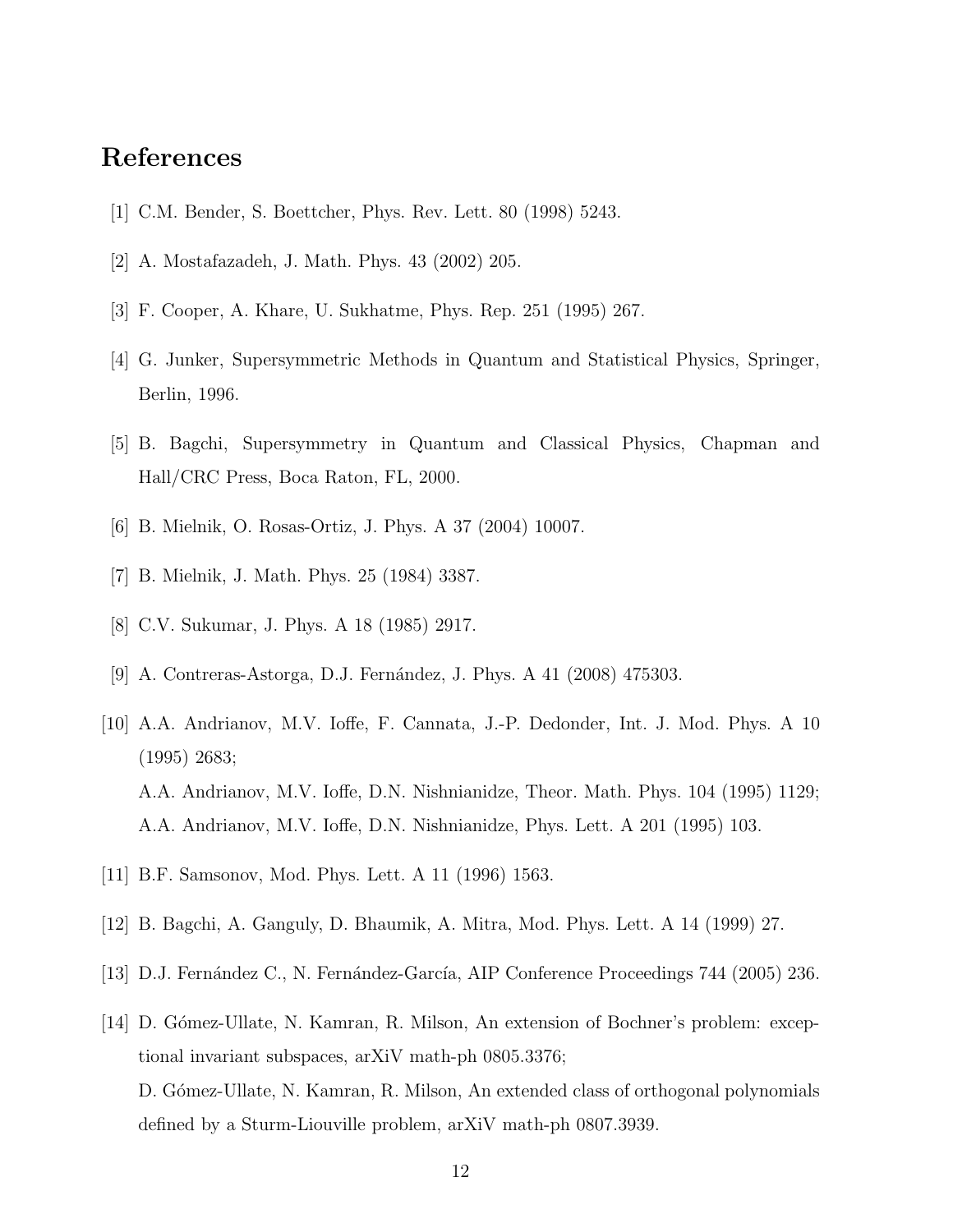# <span id="page-11-0"></span>References

- <span id="page-11-1"></span>[1] C.M. Bender, S. Boettcher, Phys. Rev. Lett. 80 (1998) 5243.
- <span id="page-11-2"></span>[2] A. Mostafazadeh, J. Math. Phys. 43 (2002) 205.
- <span id="page-11-3"></span>[3] F. Cooper, A. Khare, U. Sukhatme, Phys. Rep. 251 (1995) 267.
- <span id="page-11-4"></span>[4] G. Junker, Supersymmetric Methods in Quantum and Statistical Physics, Springer, Berlin, 1996.
- <span id="page-11-5"></span>[5] B. Bagchi, Supersymmetry in Quantum and Classical Physics, Chapman and Hall/CRC Press, Boca Raton, FL, 2000.
- <span id="page-11-6"></span>[6] B. Mielnik, O. Rosas-Ortiz, J. Phys. A 37 (2004) 10007.
- <span id="page-11-7"></span>[7] B. Mielnik, J. Math. Phys. 25 (1984) 3387.
- <span id="page-11-8"></span>[8] C.V. Sukumar, J. Phys. A 18 (1985) 2917.
- <span id="page-11-9"></span>[9] A. Contreras-Astorga, D.J. Fernández, J. Phys. A 41 (2008) 475303.
- [10] A.A. Andrianov, M.V. Ioffe, F. Cannata, J.-P. Dedonder, Int. J. Mod. Phys. A 10 (1995) 2683; A.A. Andrianov, M.V. Ioffe, D.N. Nishnianidze, Theor. Math. Phys. 104 (1995) 1129; A.A. Andrianov, M.V. Ioffe, D.N. Nishnianidze, Phys. Lett. A 201 (1995) 103.
- <span id="page-11-11"></span><span id="page-11-10"></span>[11] B.F. Samsonov, Mod. Phys. Lett. A 11 (1996) 1563.
- <span id="page-11-12"></span>[12] B. Bagchi, A. Ganguly, D. Bhaumik, A. Mitra, Mod. Phys. Lett. A 14 (1999) 27.
- <span id="page-11-13"></span>[13] D.J. Fernández C., N. Fernández-García, AIP Conference Proceedings 744 (2005) 236.
- [14] D. Gómez-Ullate, N. Kamran, R. Milson, An extension of Bochner's problem: exceptional invariant subspaces, arXiV math-ph 0805.3376; D. Gómez-Ullate, N. Kamran, R. Milson, An extended class of orthogonal polynomials defined by a Sturm-Liouville problem, arXiV math-ph 0807.3939.